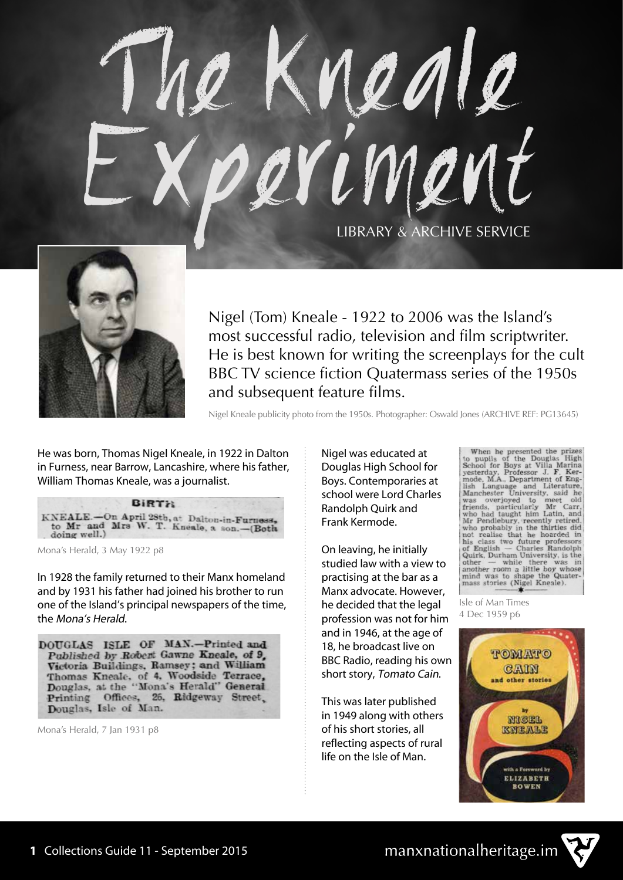# The Kneale Experiment LIBRARY & ARCHIVE SERVICE



Nigel (Tom) Kneale - 1922 to 2006 was the Island's most successful radio, television and film scriptwriter. He is best known for writing the screenplays for the cult BBC TV science fiction Quatermass series of the 1950s and subsequent feature films.

Nigel Kneale publicity photo from the 1950s. Photographer: Oswald Jones (ARCHIVE REF: PG13645)

He was born, Thomas Nigel Kneale, in 1922 in Dalton in Furness, near Barrow, Lancashire, where his father, William Thomas Kneale, was a journalist.

**BIRTH** KNEALE.-On April 28th, at Dalton-in-Furness,<br>to Mr and Mrs W. T. Kneale, a son.-(Both doing well.)

Mona's Herald, 3 May 1922 p8

In 1928 the family returned to their Manx homeland and by 1931 his father had joined his brother to run one of the Island's principal newspapers of the time, the Mona's Herald.

DOUGLAS ISLE OF MAN.-Printed and Published by Robert Gawne Kneale, of 9, Victoria Buildings, Ramsey; and William Thomas Kneale, of 4, Woodside Terrace, Douglas, at the "Mona's Herald" General Printing Offices, 26, Ridgeway Street, Douglas, Isle of Man.

Mona's Herald, 7 Jan 1931 p8

Nigel was educated at Douglas High School for Boys. Contemporaries at school were Lord Charles Randolph Quirk and Frank Kermode.

On leaving, he initially studied law with a view to practising at the bar as a Manx advocate. However, he decided that the legal profession was not for him and in 1946, at the age of 18, he broadcast live on BBC Radio, reading his own short story, Tomato Cain.

This was later published in 1949 along with others of his short stories, all reflecting aspects of rural life on the Isle of Man.

When he presented the prizes to pupils of the Douglas High School for Boys at Villa Marina yesterday, Professor J. F. Kerminstock, M.A., Department of English Language and Literature, Manchester University, said he was ov other — while there was in<br>another room a little boy whose<br>mind was to shape the Quater-<br>mass stories (Nigel Kneale).

Isle of Man Times 4 Dec 1959 p6





manxnationalheritage.im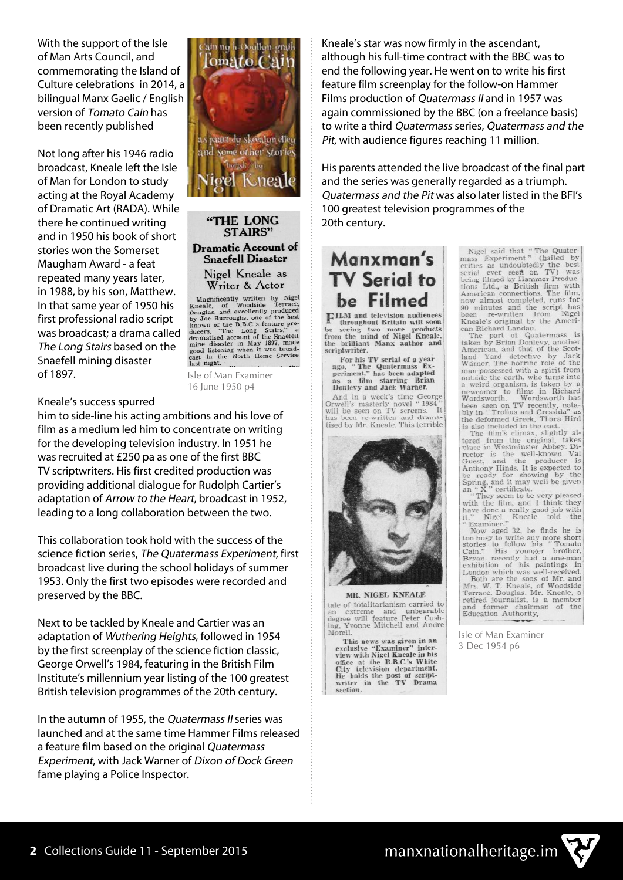With the support of the Isle of Man Arts Council, and commemorating the Island of Culture celebrations in 2014, a bilingual Manx Gaelic / English version of Tomato Cain has been recently published

Not long after his 1946 radio broadcast, Kneale left the Isle of Man for London to study acting at the Royal Academy of Dramatic Art (RADA). While there he continued writing and in 1950 his book of short stories won the Somerset Maugham Award - a feat repeated many years later, in 1988, by his son, Matthew. In that same year of 1950 his first professional radio script was broadcast; a drama called The Long Stairs based on the Snaefell mining disaster of 1897.



"THE LONG **STAIRS" Dramatic Account of Snaefell Disaster** Nigel Kneale as Writer & Actor

WITCH CATECCA<br>
Magnificently written by Nigel<br>
Reale, of Woodside Terrace,<br>
Douglas, and excellently produced<br>
by Joe Burroughs, one of the best<br>
known of the B.B.C.'s feature pro-<br>
duranaited account of the Snaefell<br>
mine in the North Home Service cast in u

Isle of Man Examiner 16 June 1950 p4

#### Kneale's success spurred

him to side-line his acting ambitions and his love of film as a medium led him to concentrate on writing for the developing television industry. In 1951 he was recruited at £250 pa as one of the first BBC TV scriptwriters. His first credited production was providing additional dialogue for Rudolph Cartier's adaptation of Arrow to the Heart, broadcast in 1952, leading to a long collaboration between the two.

This collaboration took hold with the success of the science fiction series, The Quatermass Experiment, first broadcast live during the school holidays of summer 1953. Only the first two episodes were recorded and preserved by the BBC.

Next to be tackled by Kneale and Cartier was an adaptation of Wuthering Heights, followed in 1954 by the first screenplay of the science fiction classic, George Orwell's 1984, featuring in the British Film Institute's millennium year listing of the 100 greatest British television programmes of the 20th century.

In the autumn of 1955, the Quatermass II series was launched and at the same time Hammer Films released a feature film based on the original Quatermass Experiment, with Jack Warner of Dixon of Dock Green fame playing a Police Inspector.

Kneale's star was now firmly in the ascendant, although his full-time contract with the BBC was to end the following year. He went on to write his first feature film screenplay for the follow-on Hammer Films production of Quatermass II and in 1957 was again commissioned by the BBC (on a freelance basis) to write a third Quatermass series, Quatermass and the Pit, with audience figures reaching 11 million.

His parents attended the live broadcast of the final part and the series was generally regarded as a triumph. Quatermass and the Pit was also later listed in the BFI's 100 greatest television programmes of the 20th century.

## Manxman's **TV Serial to** be Filmed

FILM and television audiences A throughout Britain will soon<br>be seeing two more products<br>from the mind of Nigel Kneale,<br>the brilliant Manx author and scriptwriter.

For his TV serial of a year<br>ago, "The Quatermass Ex-<br>periment," has been adapted<br>as a film starring Brian<br>Donlevy and Jack Warner.

And in a week's time George Orwell's masterly novel "1984"<br>will be seen on TV screens. It<br>has been re-written and drama-It tised by Mr. Kneale. This terrible



MR. NIGEL KNEALE tale of totalitarianism carried to an extreme and unbearable<br>degree will feature Peter Cushing, Yvonne Mitchell and Andre Morell

This news was given in an This news was given in an<br>exclusive "Examiner" inter-<br>view with Nigel Kneale in his<br>office at the B.B.C.'s White<br>City television department.<br>He holds the post of script-<br>writer in the TV Drama<br>section. Nigel said that "The Quater-<br>mass Experiment" (hailed by<br>critics as undoubtedly the best<br>serial ever seen on TV) was<br>being filmed by Hammer Produc-<br>tions Ltd., a British firm with<br>American connections. The film,<br>now almost

now almost completed, runs for<br>now almost completed, runs for<br>90 minutes and the script has<br>been re-written from Nigel<br>Kneale's original by the Ameri-<br>can Richard Landau.<br>The part of Quatermass is<br>taken by Brian Donleyy, a newcome to mins in richard<br>Wordsworth. Wordsworth has<br>been seen on TV recently, nota-<br>biy in "Trollus and Cressida" as<br>the deformed Greek. Thora Hird<br>is also included in the cast.

is also included in the cast.<br>The film's climax, slightly al-<br>treed from the original, takes<br>place in Westminster Abbey. Di-<br>rector is the well-known Vall<br>Guest, and the producer is<br>Anthony Hinds. It is expected to<br>be rea

They seem to be very phease<br>with the film, and I think they<br>have doe a really good job with<br>the film, and I think they<br>how aged 32, he finds he is<br>"Now aged 32, he finds he is<br>too busy to write any more short<br>stories to fo

Isle of Man Examiner 3 Dec 1954 p6

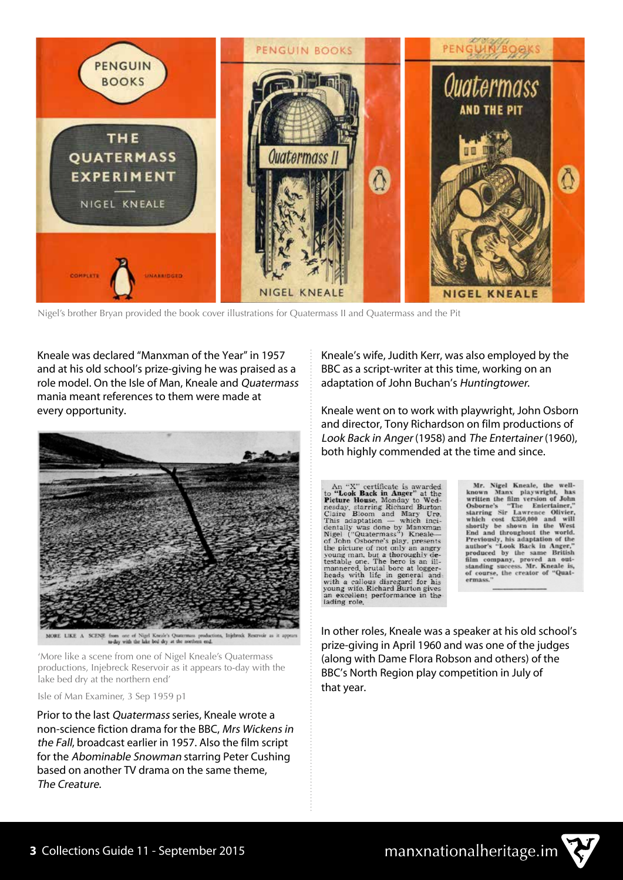

Nigel's brother Bryan provided the book cover illustrations for Quatermass II and Quatermass and the Pit

Kneale was declared "Manxman of the Year" in 1957 and at his old school's prize-giving he was praised as a role model. On the Isle of Man, Kneale and Quatermass mania meant references to them were made at every opportunity.



MORE LIKE A SCENE from one of Nigel Kneale's Quatermass<br>to day with the lake bed dry at the norther Injebrock Reservoir

'More like a scene from one of Nigel Kneale's Quatermass productions, Injebreck Reservoir as it appears to-day with the lake bed dry at the northern end'

Isle of Man Examiner, 3 Sep 1959 p1

Prior to the last Quatermass series, Kneale wrote a non-science fiction drama for the BBC, Mrs Wickens in the Fall, broadcast earlier in 1957. Also the film script for the Abominable Snowman starring Peter Cushing based on another TV drama on the same theme, The Creature.

Kneale's wife, Judith Kerr, was also employed by the BBC as a script-writer at this time, working on an adaptation of John Buchan's Huntingtower.

Kneale went on to work with playwright, John Osborn and director, Tony Richardson on film productions of Look Back in Anger (1958) and The Entertainer (1960), both highly commended at the time and since.

An "X" certificate is awarded<br>to "Look Back in Anger" at the<br>Picture House, Monday to Wed-<br>nesday, starring Richard Burton<br>Claire Bloom and Mary Ure.<br>This adaptation — which inci-<br>dentally was done by Manxman<br>of John Osbo

Mr. Nigel Kneale, the well-<br>known Manx playwright, has<br>written the film version of John Osborne's "The Entertainer,"<br>starring Sir Lawrence Olivier,<br>which cost £350,000 and will<br>shortly be shown in the West shortly be shown in the West<br>End and throughout the world.<br>Previously, his adaptation of the<br>author's "Look Back in Anger,"<br>produced by the same British<br>film company, proved an out-<br>standing success. Mr. Kneale is,<br>of cour

In other roles, Kneale was a speaker at his old school's prize-giving in April 1960 and was one of the judges (along with Dame Flora Robson and others) of the BBC's North Region play competition in July of that year.